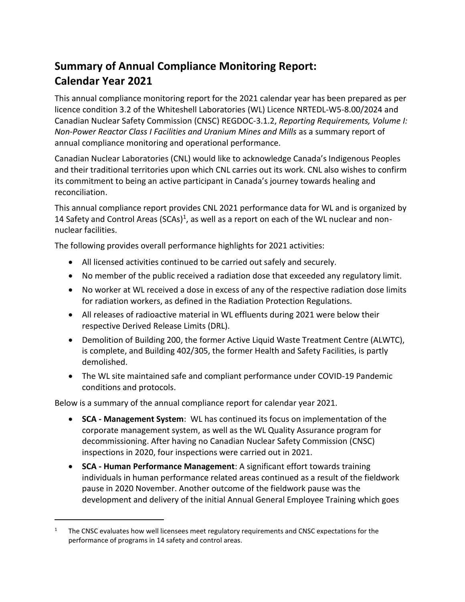## **Summary of Annual Compliance Monitoring Report: Calendar Year 2021**

This annual compliance monitoring report for the 2021 calendar year has been prepared as per licence condition 3.2 of the Whiteshell Laboratories (WL) Licence NRTEDL-W5-8.00/2024 and Canadian Nuclear Safety Commission (CNSC) REGDOC-3.1.2, *Reporting Requirements, Volume I: Non-Power Reactor Class I Facilities and Uranium Mines and Mills* as a summary report of annual compliance monitoring and operational performance.

Canadian Nuclear Laboratories (CNL) would like to acknowledge Canada's Indigenous Peoples and their traditional territories upon which CNL carries out its work. CNL also wishes to confirm its commitment to being an active participant in Canada's journey towards healing and reconciliation.

This annual compliance report provides CNL 2021 performance data for WL and is organized by 14 Safety and Control Areas (SCAs)<sup>1</sup>, as well as a report on each of the WL nuclear and nonnuclear facilities.

The following provides overall performance highlights for 2021 activities:

- All licensed activities continued to be carried out safely and securely.
- No member of the public received a radiation dose that exceeded any regulatory limit.
- No worker at WL received a dose in excess of any of the respective radiation dose limits for radiation workers, as defined in the Radiation Protection Regulations.
- All releases of radioactive material in WL effluents during 2021 were below their respective Derived Release Limits (DRL).
- Demolition of Building 200, the former Active Liquid Waste Treatment Centre (ALWTC), is complete, and Building 402/305, the former Health and Safety Facilities, is partly demolished.
- The WL site maintained safe and compliant performance under COVID-19 Pandemic conditions and protocols.

Below is a summary of the annual compliance report for calendar year 2021.

 $\overline{a}$ 

- **SCA - Management System**: WL has continued its focus on implementation of the corporate management system, as well as the WL Quality Assurance program for decommissioning. After having no Canadian Nuclear Safety Commission (CNSC) inspections in 2020, four inspections were carried out in 2021.
- **SCA - Human Performance Management**: A significant effort towards training individuals in human performance related areas continued as a result of the fieldwork pause in 2020 November. Another outcome of the fieldwork pause was the development and delivery of the initial Annual General Employee Training which goes

<sup>1</sup> The CNSC evaluates how well licensees meet regulatory requirements and CNSC expectations for the performance of programs in 14 safety and control areas.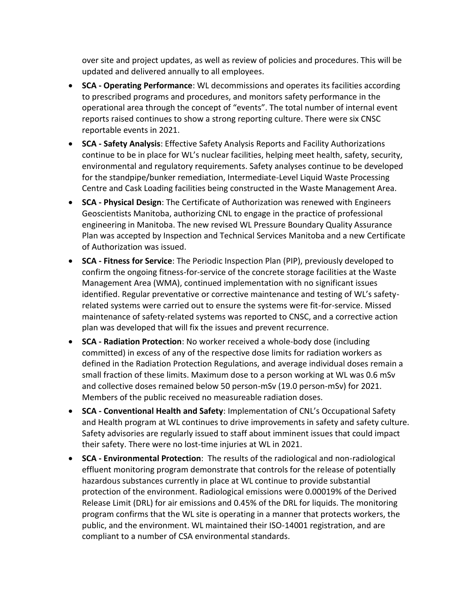over site and project updates, as well as review of policies and procedures. This will be updated and delivered annually to all employees.

- **SCA - Operating Performance**: WL decommissions and operates its facilities according to prescribed programs and procedures, and monitors safety performance in the operational area through the concept of "events". The total number of internal event reports raised continues to show a strong reporting culture. There were six CNSC reportable events in 2021.
- **SCA - Safety Analysis**: Effective Safety Analysis Reports and Facility Authorizations continue to be in place for WL's nuclear facilities, helping meet health, safety, security, environmental and regulatory requirements. Safety analyses continue to be developed for the standpipe/bunker remediation, Intermediate-Level Liquid Waste Processing Centre and Cask Loading facilities being constructed in the Waste Management Area.
- **SCA - Physical Design**: The Certificate of Authorization was renewed with Engineers Geoscientists Manitoba, authorizing CNL to engage in the practice of professional engineering in Manitoba. The new revised WL Pressure Boundary Quality Assurance Plan was accepted by Inspection and Technical Services Manitoba and a new Certificate of Authorization was issued.
- **SCA - Fitness for Service**: The Periodic Inspection Plan (PIP), previously developed to confirm the ongoing fitness-for-service of the concrete storage facilities at the Waste Management Area (WMA), continued implementation with no significant issues identified. Regular preventative or corrective maintenance and testing of WL's safetyrelated systems were carried out to ensure the systems were fit-for-service. Missed maintenance of safety-related systems was reported to CNSC, and a corrective action plan was developed that will fix the issues and prevent recurrence.
- **SCA - Radiation Protection**: No worker received a whole-body dose (including committed) in excess of any of the respective dose limits for radiation workers as defined in the Radiation Protection Regulations, and average individual doses remain a small fraction of these limits. Maximum dose to a person working at WL was 0.6 mSv and collective doses remained below 50 person-mSv (19.0 person-mSv) for 2021. Members of the public received no measureable radiation doses.
- **SCA - Conventional Health and Safety**: Implementation of CNL's Occupational Safety and Health program at WL continues to drive improvements in safety and safety culture. Safety advisories are regularly issued to staff about imminent issues that could impact their safety. There were no lost-time injuries at WL in 2021.
- **SCA - Environmental Protection**: The results of the radiological and non-radiological effluent monitoring program demonstrate that controls for the release of potentially hazardous substances currently in place at WL continue to provide substantial protection of the environment. Radiological emissions were 0.00019% of the Derived Release Limit (DRL) for air emissions and 0.45% of the DRL for liquids. The monitoring program confirms that the WL site is operating in a manner that protects workers, the public, and the environment. WL maintained their ISO-14001 registration, and are compliant to a number of CSA environmental standards.